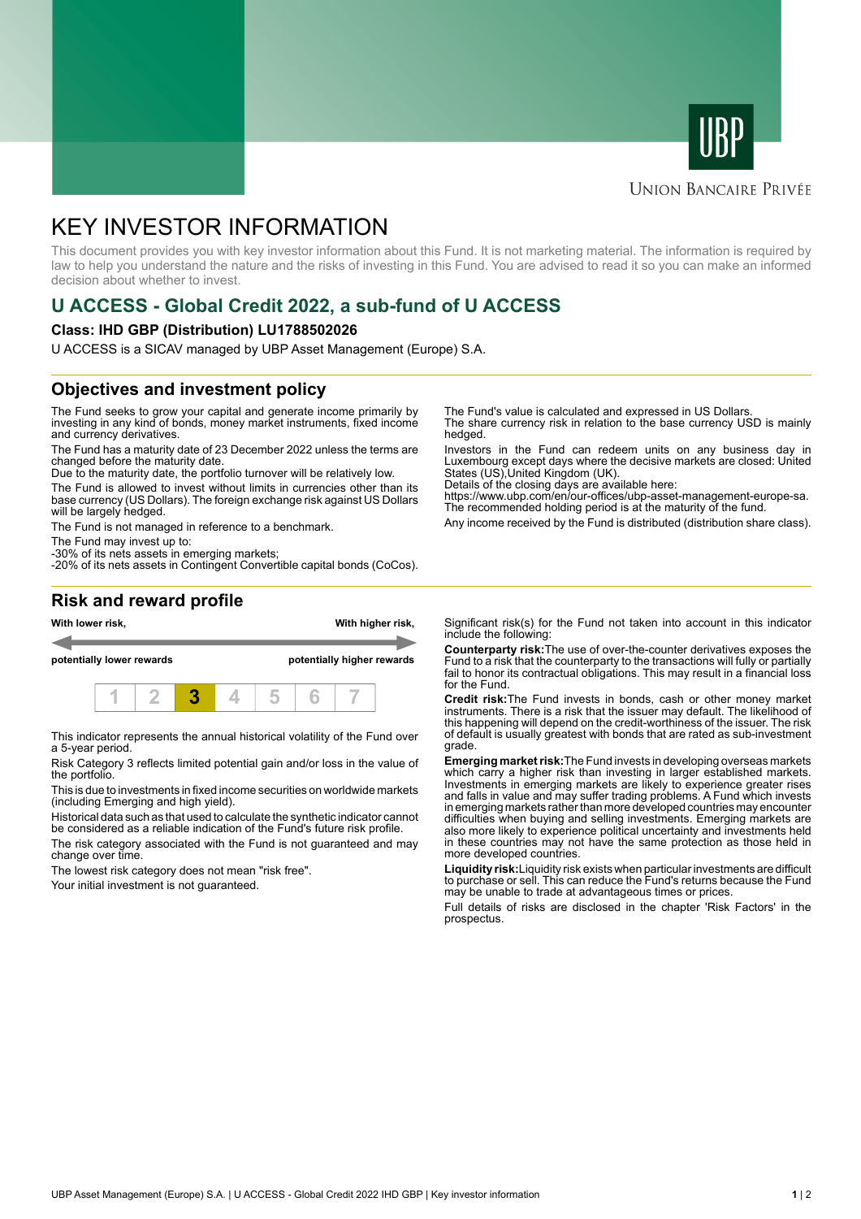



#### **UNION BANCAIRE PRIVÉE**

# KEY INVESTOR INFORMATION

This document provides you with key investor information about this Fund. It is not marketing material. The information is required by law to help you understand the nature and the risks of investing in this Fund. You are advised to read it so you can make an informed decision about whether to invest.

## **U ACCESS - Global Credit 2022, a sub-fund of U ACCESS**

#### **Class: IHD GBP (Distribution) LU1788502026**

U ACCESS is a SICAV managed by UBP Asset Management (Europe) S.A.

### **Objectives and investment policy**

The Fund seeks to grow your capital and generate income primarily by investing in any kind of bonds, money market instruments, fixed income and currency derivatives.

The Fund has a maturity date of 23 December 2022 unless the terms are changed before the maturity date.

Due to the maturity date, the portfolio turnover will be relatively low.

The Fund is allowed to invest without limits in currencies other than its base currency (US Dollars). The foreign exchange risk against US Dollars will be largely hedged.

The Fund is not managed in reference to a benchmark.

The Fund may invest up to:

-30% of its nets assets in emerging markets; -20% of its nets assets in Contingent Convertible capital bonds (CoCos). The Fund's value is calculated and expressed in US Dollars.

The share currency risk in relation to the base currency USD is mainly hedged.

Investors in the Fund can redeem units on any business day in Luxembourg except days where the decisive markets are closed: United States (US),United Kingdom (UK).

Details of the closing days are available here:

https://www.ubp.com/en/our-offices/ubp-asset-management-europe-sa. The recommended holding period is at the maturity of the fund.

Any income received by the Fund is distributed (distribution share class).

#### **Risk and reward profile**



This indicator represents the annual historical volatility of the Fund over a 5-year period.

Risk Category 3 reflects limited potential gain and/or loss in the value of the portfolio.

This is due to investments in fixed income securities on worldwide markets (including Emerging and high yield).

Historical data such as that used to calculate the synthetic indicator cannot be considered as a reliable indication of the Fund's future risk profile.

The risk category associated with the Fund is not guaranteed and may change over time.

The lowest risk category does not mean "risk free".

Your initial investment is not guaranteed.

Significant risk(s) for the Fund not taken into account in this indicator include the following:

**Counterparty risk:**The use of over-the-counter derivatives exposes the Fund to a risk that the counterparty to the transactions will fully or partially fail to honor its contractual obligations. This may result in a financial loss for the Fund.

**Credit risk:**The Fund invests in bonds, cash or other money market instruments. There is a risk that the issuer may default. The likelihood of this happening will depend on the credit-worthiness of the issuer. The risk of default is usually greatest with bonds that are rated as sub-investment grade.

**Emerging market risk:**The Fund invests in developing overseas markets which carry a higher risk than investing in larger established markets. Investments in emerging markets are likely to experience greater rises and falls in value and may suffer trading problems. A Fund which invests in emerging markets rather than more developed countries may encounter difficulties when buying and selling investments. Emerging markets are also more likely to experience political uncertainty and investments held in these countries may not have the same protection as those held in more developed countries.

**Liquidity risk:**Liquidity risk exists when particular investments are difficult to purchase or sell. This can reduce the Fund's returns because the Fund may be unable to trade at advantageous times or prices

Full details of risks are disclosed in the chapter 'Risk Factors' in the prospectus.